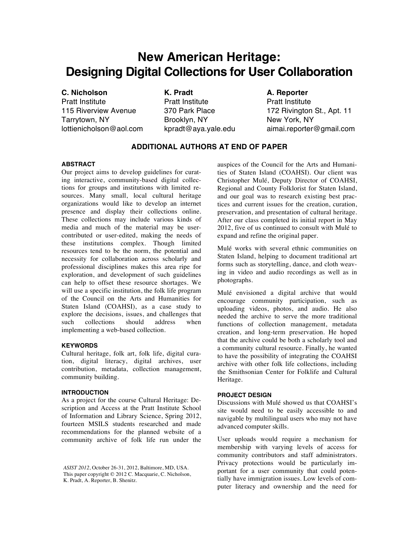# **New American Heritage: Designing Digital Collections for User Collaboration**

## **C. Nicholson**

Pratt Institute 115 Riverview Avenue Tarrytown, NY lottienicholson@aol.com **K. Pradt** Pratt Institute 370 Park Place Brooklyn, NY kpradt@aya.yale.edu

### **A. Reporter**

Pratt Institute 172 Rivington St., Apt. 11 New York, NY aimai.reporter@gmail.com

## **ADDITIONAL AUTHORS AT END OF PAPER**

#### **ABSTRACT**

Our project aims to develop guidelines for curating interactive, community-based digital collections for groups and institutions with limited resources. Many small, local cultural heritage organizations would like to develop an internet presence and display their collections online. These collections may include various kinds of media and much of the material may be usercontributed or user-edited, making the needs of these institutions complex. Though limited resources tend to be the norm, the potential and necessity for collaboration across scholarly and professional disciplines makes this area ripe for exploration, and development of such guidelines can help to offset these resource shortages. We will use a specific institution, the folk life program of the Council on the Arts and Humanities for Staten Island (COAHSI), as a case study to explore the decisions, issues, and challenges that such collections should address when implementing a web-based collection.

#### **KEYWORDS**

Cultural heritage, folk art, folk life, digital curation, digital literacy, digital archives, user contribution, metadata, collection management, community building.

#### **INTRODUCTION**

As a project for the course Cultural Heritage: Description and Access at the Pratt Institute School of Information and Library Science, Spring 2012, fourteen MSILS students researched and made recommendations for the planned website of a community archive of folk life run under the auspices of the Council for the Arts and Humanities of Staten Island (COAHSI). Our client was Christopher Mulé, Deputy Director of COAHSI, Regional and County Folklorist for Staten Island, and our goal was to research existing best practices and current issues for the creation, curation, preservation, and presentation of cultural heritage. After our class completed its initial report in May 2012, five of us continued to consult with Mulé to expand and refine the original paper.

Mulé works with several ethnic communities on Staten Island, helping to document traditional art forms such as storytelling, dance, and cloth weaving in video and audio recordings as well as in photographs.

Mulé envisioned a digital archive that would encourage community participation, such as uploading videos, photos, and audio. He also needed the archive to serve the more traditional functions of collection management, metadata creation, and long-term preservation. He hoped that the archive could be both a scholarly tool and a community cultural resource. Finally, he wanted to have the possibility of integrating the COAHSI archive with other folk life collections, including the Smithsonian Center for Folklife and Cultural Heritage.

#### **PROJECT DESIGN**

Discussions with Mulé showed us that COAHSI's site would need to be easily accessible to and navigable by multilingual users who may not have advanced computer skills.

User uploads would require a mechanism for membership with varying levels of access for community contributors and staff administrators. Privacy protections would be particularly important for a user community that could potentially have immigration issues. Low levels of computer literacy and ownership and the need for

*ASIST 2012*, October 26-31, 2012, Baltimore, MD, USA. This paper copyright © 2012 C. Macquarie, C. Nicholson, K. Pradt, A. Reporter, B. Shenitz.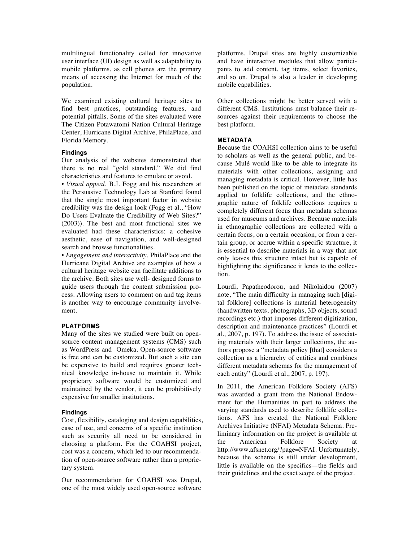multilingual functionality called for innovative user interface (UI) design as well as adaptability to mobile platforms, as cell phones are the primary means of accessing the Internet for much of the population.

We examined existing cultural heritage sites to find best practices, outstanding features, and potential pitfalls. Some of the sites evaluated were The Citizen Potawatomi Nation Cultural Heritage Center, Hurricane Digital Archive, PhilaPlace, and Florida Memory.

#### **Findings**

Our analysis of the websites demonstrated that there is no real "gold standard." We did find characteristics and features to emulate or avoid.

*• Visual appeal.* B.J. Fogg and his researchers at the Persuasive Technology Lab at Stanford found that the single most important factor in website credibility was the design look (Fogg et al., "How Do Users Evaluate the Credibility of Web Sites?" (2003)). The best and most functional sites we evaluated had these characteristics: a cohesive aesthetic, ease of navigation, and well-designed search and browse functionalities.

• *Engagement and interactivity.* PhilaPlace and the Hurricane Digital Archive are examples of how a cultural heritage website can facilitate additions to the archive. Both sites use well- designed forms to guide users through the content submission process. Allowing users to comment on and tag items is another way to encourage community involvement.

#### **PLATFORMS**

Many of the sites we studied were built on opensource content management systems (CMS) such as WordPress and Omeka. Open-source software is free and can be customized. But such a site can be expensive to build and requires greater technical knowledge in-house to maintain it. While proprietary software would be customized and maintained by the vendor, it can be prohibitively expensive for smaller institutions.

#### **Findings**

Cost, flexibility, cataloging and design capabilities, ease of use, and concerns of a specific institution such as security all need to be considered in choosing a platform. For the COAHSI project, cost was a concern, which led to our recommendation of open-source software rather than a proprietary system.

Our recommendation for COAHSI was Drupal, one of the most widely used open-source software platforms. Drupal sites are highly customizable and have interactive modules that allow participants to add content, tag items, select favorites, and so on. Drupal is also a leader in developing mobile capabilities.

Other collections might be better served with a different CMS. Institutions must balance their resources against their requirements to choose the best platform.

#### **METADATA**

Because the COAHSI collection aims to be useful to scholars as well as the general public, and because Mulé would like to be able to integrate its materials with other collections, assigning and managing metadata is critical. However, little has been published on the topic of metadata standards applied to folklife collections, and the ethnographic nature of folklife collections requires a completely different focus than metadata schemas used for museums and archives. Because materials in ethnographic collections are collected with a certain focus, on a certain occasion, or from a certain group, or accrue within a specific structure, it is essential to describe materials in a way that not only leaves this structure intact but is capable of highlighting the significance it lends to the collection.

Lourdi, Papatheodorou, and Nikolaidou (2007) note, "The main difficulty in managing such [digital folklore] collections is material heterogeneity (handwritten texts, photographs, 3D objects, sound recordings etc.) that imposes different digitization, description and maintenance practices" (Lourdi et al., 2007, p. 197). To address the issue of associating materials with their larger collections, the authors propose a "metadata policy [that] considers a collection as a hierarchy of entities and combines different metadata schemas for the management of each entity" (Lourdi et al., 2007, p. 197).

In 2011, the American Folklore Society (AFS) was awarded a grant from the National Endowment for the Humanities in part to address the varying standards used to describe folklife collections. AFS has created the National Folklore Archives Initiative (NFAI) Metadata Schema. Preliminary information on the project is available at the American Folklore Society at http://www.afsnet.org/?page=NFAI. Unfortunately, because the schema is still under development, little is available on the specifics—the fields and their guidelines and the exact scope of the project.